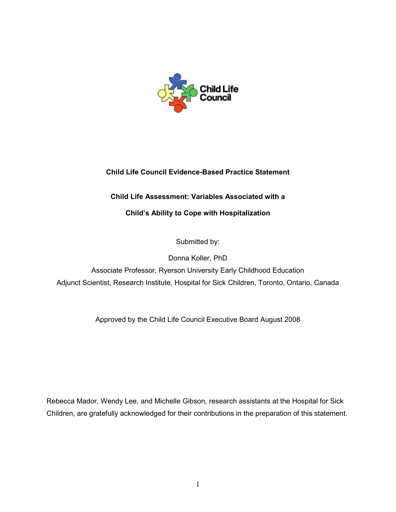

# **Child Life Council Evidence-Based Practice Statement**

# **Child Life Assessment: Variables Associated with a**

# **Child's Ability to Cope with Hospitalization**

Submitted by:

Donna Koller, PhD

Associate Professor, Ryerson University Early Childhood Education Adjunct Scientist, Research Institute, Hospital for Sick Children, Toronto, Ontario, Canada

Approved by the Child Life Council Executive Board August 2008

Rebecca Mador, Wendy Lee, and Michelle Gibson, research assistants at the Hospital for Sick Children, are gratefully acknowledged for their contributions in the preparation of this statement.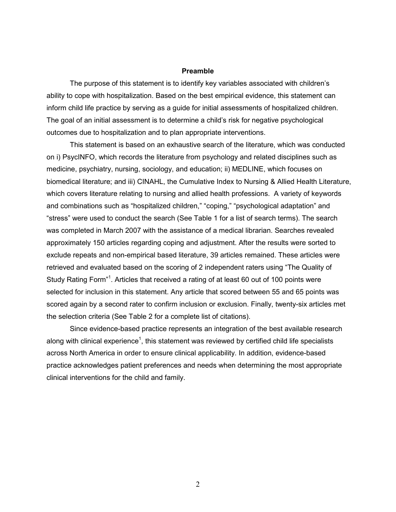### **Preamble**

The purpose of this statement is to identify key variables associated with children's ability to cope with hospitalization. Based on the best empirical evidence, this statement can inform child life practice by serving as a guide for initial assessments of hospitalized children. The goal of an initial assessment is to determine a child's risk for negative psychological outcomes due to hospitalization and to plan appropriate interventions.

This statement is based on an exhaustive search of the literature, which was conducted on i) PsycINFO, which records the literature from psychology and related disciplines such as medicine, psychiatry, nursing, sociology, and education; ii) MEDLINE, which focuses on biomedical literature; and iii) CINAHL, the Cumulative Index to Nursing & Allied Health Literature, which covers literature relating to nursing and allied health professions. A variety of keywords and combinations such as "hospitalized children," "coping," "psychological adaptation" and "stress" were used to conduct the search (See Table 1 for a list of search terms). The search was completed in March 2007 with the assistance of a medical librarian. Searches revealed approximately 150 articles regarding coping and adjustment. After the results were sorted to exclude repeats and non-empirical based literature, 39 articles remained. These articles were retrieved and evaluated based on the scoring of 2 independent raters using "The Quality of Study Rating Form"<sup>1</sup>. Articles that received a rating of at least 60 out of 100 points were selected for inclusion in this statement. Any article that scored between 55 and 65 points was scored again by a second rater to confirm inclusion or exclusion. Finally, twenty-six articles met the selection criteria (See Table 2 for a complete list of citations).

Since evidence-based practice represents an integration of the best available research along with clinical experience<sup>1</sup>, this statement was reviewed by certified child life specialists across North America in order to ensure clinical applicability. In addition, evidence-based practice acknowledges patient preferences and needs when determining the most appropriate clinical interventions for the child and family.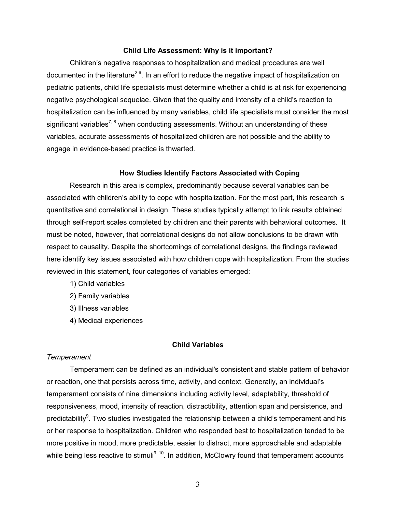#### **Child Life Assessment: Why is it important?**

Children's negative responses to hospitalization and medical procedures are well documented in the literature<sup>2-6</sup>. In an effort to reduce the negative impact of hospitalization on pediatric patients, child life specialists must determine whether a child is at risk for experiencing negative psychological sequelae. Given that the quality and intensity of a child's reaction to hospitalization can be influenced by many variables, child life specialists must consider the most significant variables<sup>7, 8</sup> when conducting assessments. Without an understanding of these variables, accurate assessments of hospitalized children are not possible and the ability to engage in evidence-based practice is thwarted.

#### **How Studies Identify Factors Associated with Coping**

 Research in this area is complex, predominantly because several variables can be associated with children's ability to cope with hospitalization. For the most part, this research is quantitative and correlational in design. These studies typically attempt to link results obtained through self-report scales completed by children and their parents with behavioral outcomes. It must be noted, however, that correlational designs do not allow conclusions to be drawn with respect to causality. Despite the shortcomings of correlational designs, the findings reviewed here identify key issues associated with how children cope with hospitalization. From the studies reviewed in this statement, four categories of variables emerged:

- 1) Child variables
- 2) Family variables
- 3) Illness variables
- 4) Medical experiences

### **Child Variables**

#### *Temperament*

Temperament can be defined as an individual's consistent and stable pattern of behavior or reaction, one that persists across time, activity, and context. Generally, an individual's temperament consists of nine dimensions including activity level, adaptability, threshold of responsiveness, mood, intensity of reaction, distractibility, attention span and persistence, and predictability<sup>9</sup>. Two studies investigated the relationship between a child's temperament and his or her response to hospitalization. Children who responded best to hospitalization tended to be more positive in mood, more predictable, easier to distract, more approachable and adaptable while being less reactive to stimuli<sup>9, 10</sup>. In addition, McClowry found that temperament accounts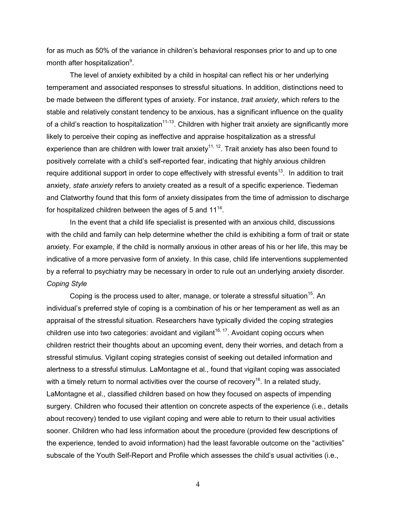for as much as 50% of the variance in children's behavioral responses prior to and up to one month after hospitalization<sup>9</sup>.

The level of anxiety exhibited by a child in hospital can reflect his or her underlying temperament and associated responses to stressful situations. In addition, distinctions need to be made between the different types of anxiety. For instance, *trait anxiety*, which refers to the stable and relatively constant tendency to be anxious, has a significant influence on the quality of a child's reaction to hospitalization<sup>11-13</sup>. Children with higher trait anxiety are significantly more likely to perceive their coping as ineffective and appraise hospitalization as a stressful experience than are children with lower trait anxiety<sup>11, 12</sup>. Trait anxiety has also been found to positively correlate with a child's self-reported fear, indicating that highly anxious children require additional support in order to cope effectively with stressful events<sup>13</sup>. In addition to trait anxiety, *state anxiety* refers to anxiety created as a result of a specific experience. Tiedeman and Clatworthy found that this form of anxiety dissipates from the time of admission to discharge for hospitalized children between the ages of 5 and 11<sup>14</sup>.

In the event that a child life specialist is presented with an anxious child, discussions with the child and family can help determine whether the child is exhibiting a form of trait or state anxiety. For example, if the child is normally anxious in other areas of his or her life, this may be indicative of a more pervasive form of anxiety. In this case, child life interventions supplemented by a referral to psychiatry may be necessary in order to rule out an underlying anxiety disorder. *Coping Style* 

Coping is the process used to alter, manage, or tolerate a stressful situation<sup>15</sup>. An individual's preferred style of coping is a combination of his or her temperament as well as an appraisal of the stressful situation. Researchers have typically divided the coping strategies children use into two categories: avoidant and vigilant<sup>16, 17</sup>. Avoidant coping occurs when children restrict their thoughts about an upcoming event, deny their worries, and detach from a stressful stimulus. Vigilant coping strategies consist of seeking out detailed information and alertness to a stressful stimulus. LaMontagne et al., found that vigilant coping was associated with a timely return to normal activities over the course of recovery<sup>16</sup>. In a related study, LaMontagne et al., classified children based on how they focused on aspects of impending surgery. Children who focused their attention on concrete aspects of the experience (i.e., details about recovery) tended to use vigilant coping and were able to return to their usual activities sooner. Children who had less information about the procedure (provided few descriptions of the experience, tended to avoid information) had the least favorable outcome on the "activities" subscale of the Youth Self-Report and Profile which assesses the child's usual activities (i.e.,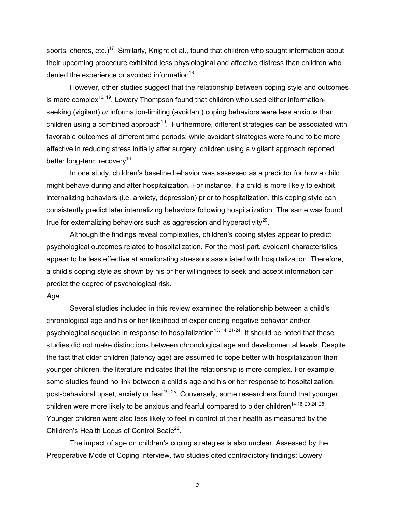sports, chores, etc.)<sup>17</sup>. Similarly, Knight et al., found that children who sought information about their upcoming procedure exhibited less physiological and affective distress than children who denied the experience or avoided information $^{18}$ .

However, other studies suggest that the relationship between coping style and outcomes is more complex<sup>16, 19</sup>. Lowery Thompson found that children who used either informationseeking (vigilant) *or* information-limiting (avoidant) coping behaviors were less anxious than children using a combined approach<sup>19</sup>. Furthermore, different strategies can be associated with favorable outcomes at different time periods; while avoidant strategies were found to be more effective in reducing stress initially after surgery, children using a vigilant approach reported better long-term recovery<sup>16</sup>.

In one study, children's baseline behavior was assessed as a predictor for how a child might behave during and after hospitalization. For instance, if a child is more likely to exhibit internalizing behaviors (i.e. anxiety, depression) prior to hospitalization, this coping style can consistently predict later internalizing behaviors following hospitalization. The same was found true for externalizing behaviors such as aggression and hyperactivity $^{20}$ .

Although the findings reveal complexities, children's coping styles appear to predict psychological outcomes related to hospitalization. For the most part, avoidant characteristics appear to be less effective at ameliorating stressors associated with hospitalization. Therefore, a child's coping style as shown by his or her willingness to seek and accept information can predict the degree of psychological risk.

#### *Age*

 Several studies included in this review examined the relationship between a child's chronological age and his or her likelihood of experiencing negative behavior and/or psychological sequelae in response to hospitalization<sup>13, 14, 21-24</sup>. It should be noted that these studies did not make distinctions between chronological age and developmental levels. Despite the fact that older children (latency age) are assumed to cope better with hospitalization than younger children, the literature indicates that the relationship is more complex. For example, some studies found no link between a child's age and his or her response to hospitalization, post-behavioral upset, anxiety or fear<sup>19, 25</sup>. Conversely, some researchers found that younger children were more likely to be anxious and fearful compared to older children<sup>14-16, 20-24, 26</sup>. Younger children were also less likely to feel in control of their health as measured by the Children's Health Locus of Control Scale $^{22}$ .

The impact of age on children's coping strategies is also unclear. Assessed by the Preoperative Mode of Coping Interview, two studies cited contradictory findings: Lowery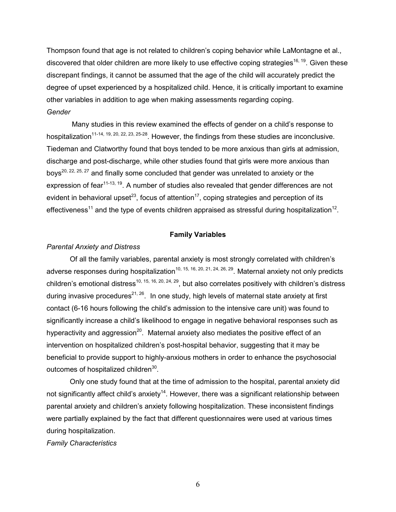Thompson found that age is not related to children's coping behavior while LaMontagne et al., discovered that older children are more likely to use effective coping strategies<sup>16, 19</sup>. Given these discrepant findings, it cannot be assumed that the age of the child will accurately predict the degree of upset experienced by a hospitalized child. Hence, it is critically important to examine other variables in addition to age when making assessments regarding coping. *Gender* 

 Many studies in this review examined the effects of gender on a child's response to hospitalization<sup>11-14, 19, 20, 22, 23, 25-28</sup>. However, the findings from these studies are inconclusive. Tiedeman and Clatworthy found that boys tended to be more anxious than girls at admission, discharge and post-discharge, while other studies found that girls were more anxious than boys<sup>20, 22, 25, 27</sup> and finally some concluded that gender was unrelated to anxiety or the expression of fear<sup>11-13, 19</sup>. A number of studies also revealed that gender differences are not evident in behavioral upset<sup>23</sup>, focus of attention<sup>17</sup>, coping strategies and perception of its effectiveness<sup>11</sup> and the type of events children appraised as stressful during hospitalization<sup>12</sup>.

### **Family Variables**

#### *Parental Anxiety and Distress*

Of all the family variables, parental anxiety is most strongly correlated with children's adverse responses during hospitalization<sup>10, 15, 16, 20, 21, 24, 26, 29</sup>. Maternal anxiety not only predicts children's emotional distress<sup>10, 15, 16, 20, 24, 29</sup>, but also correlates positively with children's distress during invasive procedures<sup>21, 26</sup>. In one study, high levels of maternal state anxiety at first contact (6-16 hours following the child's admission to the intensive care unit) was found to significantly increase a child's likelihood to engage in negative behavioral responses such as hyperactivity and aggression<sup>20</sup>. Maternal anxiety also mediates the positive effect of an intervention on hospitalized children's post-hospital behavior, suggesting that it may be beneficial to provide support to highly-anxious mothers in order to enhance the psychosocial outcomes of hospitalized children<sup>30</sup>.

Only one study found that at the time of admission to the hospital, parental anxiety did not significantly affect child's anxiety<sup>14</sup>. However, there was a significant relationship between parental anxiety and children's anxiety following hospitalization. These inconsistent findings were partially explained by the fact that different questionnaires were used at various times during hospitalization.

*Family Characteristics*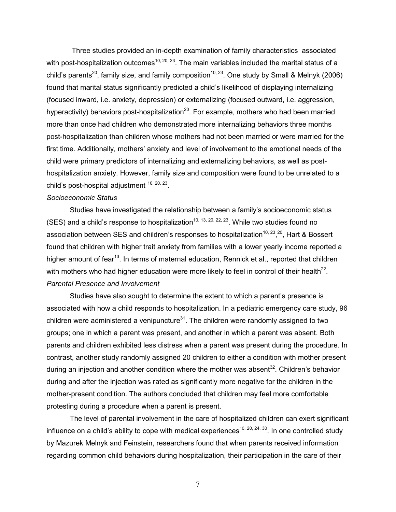Three studies provided an in-depth examination of family characteristics associated with post-hospitalization outcomes<sup>10, 20, 23</sup>. The main variables included the marital status of a child's parents<sup>20</sup>, family size, and family composition<sup>10, 23</sup>. One study by Small & Melnyk (2006) found that marital status significantly predicted a child's likelihood of displaying internalizing (focused inward, i.e. anxiety, depression) or externalizing (focused outward, i.e. aggression, hyperactivity) behaviors post-hospitalization<sup>20</sup>. For example, mothers who had been married more than once had children who demonstrated more internalizing behaviors three months post-hospitalization than children whose mothers had not been married or were married for the first time. Additionally, mothers' anxiety and level of involvement to the emotional needs of the child were primary predictors of internalizing and externalizing behaviors, as well as posthospitalization anxiety. However, family size and composition were found to be unrelated to a child's post-hospital adjustment  $10, 20, 23$ .

#### *Socioeconomic Status*

Studies have investigated the relationship between a family's socioeconomic status (SES) and a child's response to hospitalization<sup>10, 13, 20, 22, 23</sup>. While two studies found no association between SES and children's responses to hospitalization<sup>10, 23</sup>,<sup>20</sup>, Hart & Bossert found that children with higher trait anxiety from families with a lower yearly income reported a higher amount of fear<sup>13</sup>. In terms of maternal education, Rennick et al., reported that children with mothers who had higher education were more likely to feel in control of their health<sup>22</sup>. *Parental Presence and Involvement* 

Studies have also sought to determine the extent to which a parent's presence is associated with how a child responds to hospitalization. In a pediatric emergency care study, 96 children were administered a venipuncture $31$ . The children were randomly assigned to two groups; one in which a parent was present, and another in which a parent was absent. Both parents and children exhibited less distress when a parent was present during the procedure. In contrast, another study randomly assigned 20 children to either a condition with mother present during an injection and another condition where the mother was absent<sup>32</sup>. Children's behavior during and after the injection was rated as significantly more negative for the children in the mother-present condition. The authors concluded that children may feel more comfortable protesting during a procedure when a parent is present.

 The level of parental involvement in the care of hospitalized children can exert significant influence on a child's ability to cope with medical experiences<sup>10, 20, 24, 30</sup>. In one controlled study by Mazurek Melnyk and Feinstein, researchers found that when parents received information regarding common child behaviors during hospitalization, their participation in the care of their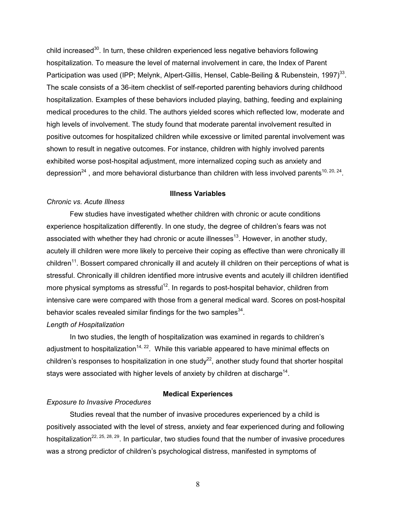child increased $30$ . In turn, these children experienced less negative behaviors following hospitalization. To measure the level of maternal involvement in care, the Index of Parent Participation was used (IPP; Melynk, Alpert-Gillis, Hensel, Cable-Beiling & Rubenstein, 1997)<sup>33</sup>. The scale consists of a 36-item checklist of self-reported parenting behaviors during childhood hospitalization. Examples of these behaviors included playing, bathing, feeding and explaining medical procedures to the child. The authors yielded scores which reflected low, moderate and high levels of involvement. The study found that moderate parental involvement resulted in positive outcomes for hospitalized children while excessive or limited parental involvement was shown to result in negative outcomes. For instance, children with highly involved parents exhibited worse post-hospital adjustment, more internalized coping such as anxiety and depression<sup>24</sup>, and more behavioral disturbance than children with less involved parents<sup>10, 20, 24</sup>.

### **Illness Variables**

#### *Chronic vs. Acute Illness*

Few studies have investigated whether children with chronic or acute conditions experience hospitalization differently. In one study, the degree of children's fears was not associated with whether they had chronic or acute illnesses<sup>13</sup>. However, in another study, acutely ill children were more likely to perceive their coping as effective than were chronically ill children<sup>11</sup>. Bossert compared chronically ill and acutely ill children on their perceptions of what is stressful. Chronically ill children identified more intrusive events and acutely ill children identified more physical symptoms as stressful<sup>12</sup>. In regards to post-hospital behavior, children from intensive care were compared with those from a general medical ward. Scores on post-hospital behavior scales revealed similar findings for the two samples $^{34}$ .

### *Length of Hospitalization*

 In two studies, the length of hospitalization was examined in regards to children's adjustment to hospitalization<sup>14, 22</sup>. While this variable appeared to have minimal effects on children's responses to hospitalization in one study<sup>22</sup>, another study found that shorter hospital stays were associated with higher levels of anxiety by children at discharge<sup>14</sup>.

### **Medical Experiences**

## *Exposure to Invasive Procedures*

 Studies reveal that the number of invasive procedures experienced by a child is positively associated with the level of stress, anxiety and fear experienced during and following hospitalization<sup>22, 25, 28, 29</sup>. In particular, two studies found that the number of invasive procedures was a strong predictor of children's psychological distress, manifested in symptoms of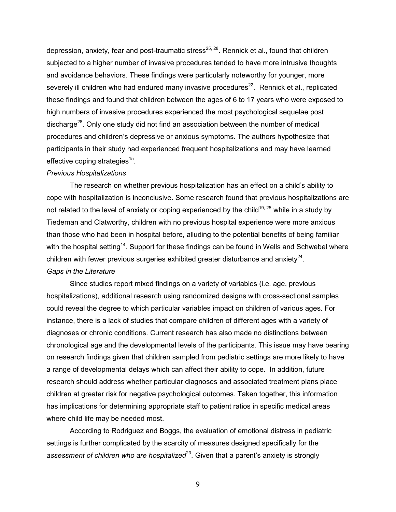depression, anxiety, fear and post-traumatic stress<sup>25, 28</sup>. Rennick et al., found that children subjected to a higher number of invasive procedures tended to have more intrusive thoughts and avoidance behaviors. These findings were particularly noteworthy for younger, more severely ill children who had endured many invasive procedures<sup>22</sup>. Rennick et al., replicated these findings and found that children between the ages of 6 to 17 years who were exposed to high numbers of invasive procedures experienced the most psychological sequelae post discharge<sup>28</sup>. Only one study did not find an association between the number of medical procedures and children's depressive or anxious symptoms. The authors hypothesize that participants in their study had experienced frequent hospitalizations and may have learned effective coping strategies<sup>15</sup>.

#### *Previous Hospitalizations*

The research on whether previous hospitalization has an effect on a child's ability to cope with hospitalization is inconclusive. Some research found that previous hospitalizations are not related to the level of anxiety or coping experienced by the child<sup>19, 25</sup> while in a study by Tiedeman and Clatworthy, children with no previous hospital experience were more anxious than those who had been in hospital before, alluding to the potential benefits of being familiar with the hospital setting<sup>14</sup>. Support for these findings can be found in Wells and Schwebel where children with fewer previous surgeries exhibited greater disturbance and anxiety $^{24}$ . *Gaps in the Literature* 

Since studies report mixed findings on a variety of variables (i.e. age, previous hospitalizations), additional research using randomized designs with cross-sectional samples could reveal the degree to which particular variables impact on children of various ages. For instance, there is a lack of studies that compare children of different ages with a variety of diagnoses or chronic conditions. Current research has also made no distinctions between chronological age and the developmental levels of the participants. This issue may have bearing on research findings given that children sampled from pediatric settings are more likely to have a range of developmental delays which can affect their ability to cope. In addition, future research should address whether particular diagnoses and associated treatment plans place children at greater risk for negative psychological outcomes. Taken together, this information has implications for determining appropriate staff to patient ratios in specific medical areas where child life may be needed most.

According to Rodriguez and Boggs, the evaluation of emotional distress in pediatric settings is further complicated by the scarcity of measures designed specifically for the assessment of children who are hospitalized<sup>23</sup>. Given that a parent's anxiety is strongly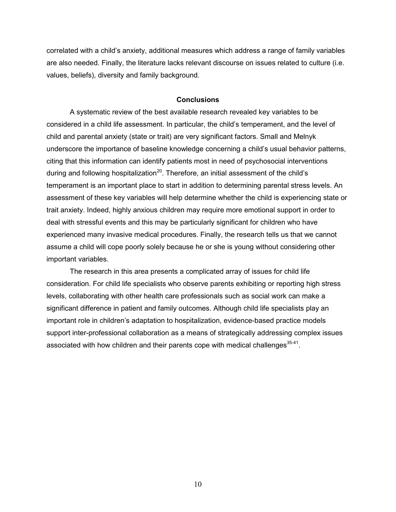correlated with a child's anxiety, additional measures which address a range of family variables are also needed. Finally, the literature lacks relevant discourse on issues related to culture (i.e. values, beliefs), diversity and family background.

### **Conclusions**

 A systematic review of the best available research revealed key variables to be considered in a child life assessment. In particular, the child's temperament, and the level of child and parental anxiety (state or trait) are very significant factors. Small and Melnyk underscore the importance of baseline knowledge concerning a child's usual behavior patterns, citing that this information can identify patients most in need of psychosocial interventions during and following hospitalization<sup>20</sup>. Therefore, an initial assessment of the child's temperament is an important place to start in addition to determining parental stress levels. An assessment of these key variables will help determine whether the child is experiencing state or trait anxiety. Indeed, highly anxious children may require more emotional support in order to deal with stressful events and this may be particularly significant for children who have experienced many invasive medical procedures. Finally, the research tells us that we cannot assume a child will cope poorly solely because he or she is young without considering other important variables.

The research in this area presents a complicated array of issues for child life consideration. For child life specialists who observe parents exhibiting or reporting high stress levels, collaborating with other health care professionals such as social work can make a significant difference in patient and family outcomes. Although child life specialists play an important role in children's adaptation to hospitalization, evidence-based practice models support inter-professional collaboration as a means of strategically addressing complex issues associated with how children and their parents cope with medical challenges $^{35-41}$ .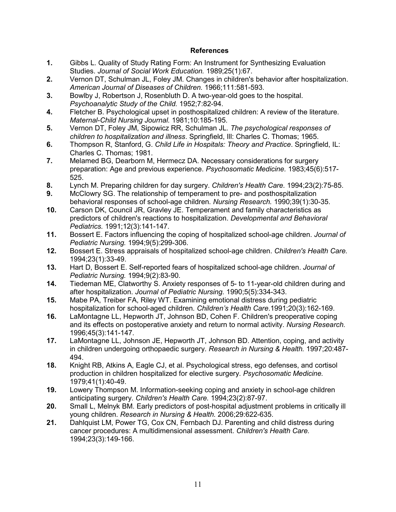### **References**

- **1.** Gibbs L. Quality of Study Rating Form: An Instrument for Synthesizing Evaluation Studies. *Journal of Social Work Education.* 1989;25(1):67.
- **2.** Vernon DT, Schulman JL, Foley JM. Changes in children's behavior after hospitalization. *American Journal of Diseases of Children.* 1966;111:581-593.
- **3.** Bowlby J, Robertson J, Rosenbluth D. A two-year-old goes to the hospital. *Psychoanalytic Study of the Child.* 1952;7:82-94.
- **4.** Fletcher B. Psychological upset in posthospitalized children: A review of the literature. *Maternal-Child Nursing Journal.* 1981;10:185-195.
- **5.** Vernon DT, Foley JM, Sipowicz RR, Schulman JL. *The psychological responses of children to hospitalization and illness*. Springfield, Ill: Charles C. Thomas; 1965.
- **6.** Thompson R, Stanford, G. *Child Life in Hospitals: Theory and Practice*. Springfield, IL: Charles C. Thomas; 1981.
- **7.** Melamed BG, Dearborn M, Hermecz DA. Necessary considerations for surgery preparation: Age and previous experience. *Psychosomatic Medicine.* 1983;45(6):517- 525.
- **8.** Lynch M. Preparing children for day surgery. *Children's Health Care.* 1994;23(2):75-85.
- **9.** McClowry SG. The relationship of temperament to pre- and posthospitalization behavioral responses of school-age children. *Nursing Research.* 1990;39(1):30-35.
- **10.** Carson DK, Council JR, Gravley JE. Temperament and family characteristics as predictors of children's reactions to hospitalization. *Developmental and Behavioral Pediatrics.* 1991;12(3):141-147.
- **11.** Bossert E. Factors influencing the coping of hospitalized school-age children. *Journal of Pediatric Nursing.* 1994;9(5):299-306.
- **12.** Bossert E. Stress appraisals of hospitalized school-age children. *Children's Health Care.*  1994;23(1):33-49.
- **13.** Hart D, Bossert E. Self-reported fears of hospitalized school-age children. *Journal of Pediatric Nursing.* 1994;9(2):83-90.
- **14.** Tiedeman ME, Clatworthy S. Anxiety responses of 5- to 11-year-old children during and after hospitalization. *Journal of Pediatric Nursing.* 1990;5(5):334-343.
- **15.** Mabe PA, Treiber FA, Riley WT. Examining emotional distress during pediatric hospitalization for school-aged children. *Children's Health Care*.1991;20(3):162-169.
- **16.** LaMontagne LL, Hepworth JT, Johnson BD, Cohen F. Children's preoperative coping and its effects on postoperative anxiety and return to normal activity. *Nursing Research.*  1996;45(3):141-147.
- **17.** LaMontagne LL, Johnson JE, Hepworth JT, Johnson BD. Attention, coping, and activity in children undergoing orthopaedic surgery. *Research in Nursing & Health.* 1997;20:487- 494.
- **18.** Knight RB, Atkins A, Eagle CJ, et al. Psychological stress, ego defenses, and cortisol production in children hospitalized for elective surgery. *Psychosomatic Medicine.*  1979;41(1):40-49.
- **19.** Lowery Thompson M. Information-seeking coping and anxiety in school-age children anticipating surgery. *Children's Health Care.* 1994;23(2):87-97.
- **20.** Small L, Melnyk BM. Early predictors of post-hospital adjustment problems in critically ill young children. *Research in Nursing & Health.* 2006;29:622-635.
- **21.** Dahlquist LM, Power TG, Cox CN, Fernbach DJ. Parenting and child distress during cancer procedures: A multidimensional assessment. *Children's Health Care.*  1994;23(3):149-166.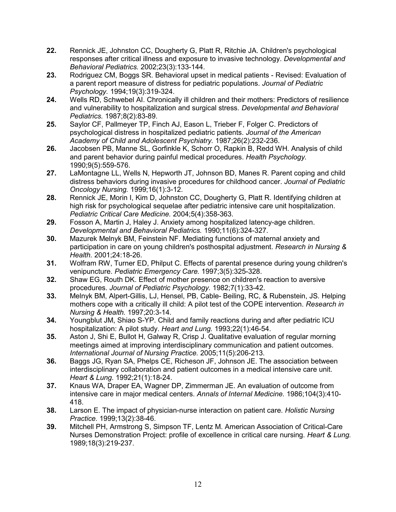- **22.** Rennick JE, Johnston CC, Dougherty G, Platt R, Ritchie JA. Children's psychological responses after critical illness and exposure to invasive technology. *Developmental and Behavioral Pediatrics.* 2002;23(3):133-144.
- **23.** Rodriguez CM, Boggs SR. Behavioral upset in medical patients Revised: Evaluation of a parent report measure of distress for pediatric populations. *Journal of Pediatric Psychology.* 1994;19(3):319-324.
- **24.** Wells RD, Schwebel AI. Chronically ill children and their mothers: Predictors of resilience and vulnerability to hospitalization and surgical stress. *Developmental and Behavioral Pediatrics.* 1987;8(2):83-89.
- **25.** Saylor CF, Pallmeyer TP, Finch AJ, Eason L, Trieber F, Folger C. Predictors of psychological distress in hospitalized pediatric patients. *Journal of the American Academy of Child and Adolescent Psychiatry.* 1987;26(2):232-236.
- **26.** Jacobsen PB, Manne SL, Gorfinkle K, Schorr O, Rapkin B, Redd WH. Analysis of child and parent behavior during painful medical procedures. *Health Psychology.*  1990;9(5):559-576.
- **27.** LaMontagne LL, Wells N, Hepworth JT, Johnson BD, Manes R. Parent coping and child distress behaviors during invasive procedures for childhood cancer. *Journal of Pediatric Oncology Nursing.* 1999;16(1):3-12.
- **28.** Rennick JE, Morin I, Kim D, Johnston CC, Dougherty G, Platt R. Identifying children at high risk for psychological sequelae after pediatric intensive care unit hospitalization. *Pediatric Critical Care Medicine.* 2004;5(4):358-363.
- **29.** Fosson A, Martin J, Haley J. Anxiety among hospitalized latency-age children. *Developmental and Behavioral Pediatrics.* 1990;11(6):324-327.
- **30.** Mazurek Melnyk BM, Feinstein NF. Mediating functions of maternal anxiety and participation in care on young children's posthospital adjustment. *Research in Nursing & Health.* 2001;24:18-26.
- **31.** Wolfram RW, Turner ED, Philput C. Effects of parental presence during young children's venipuncture. *Pediatric Emergency Care.* 1997;3(5):325-328.
- **32.** Shaw EG, Routh DK. Effect of mother presence on children's reaction to aversive procedures. *Journal of Pediatric Psychology.* 1982;7(1):33-42.
- **33.** Melnyk BM, Alpert-Gillis, LJ, Hensel, PB, Cable- Beiling, RC, & Rubenstein, JS. Helping mothers cope with a critically ill child: A pilot test of the COPE intervention. *Research in Nursing & Health.* 1997;20:3-14.
- **34.** Youngblut JM, Shiao S-YP. Child and family reactions during and after pediatric ICU hospitalization: A pilot study. *Heart and Lung.* 1993;22(1):46-54.
- **35.** Aston J, Shi E, Bullot H, Galway R, Crisp J. Qualitative evaluation of regular morning meetings aimed at improving interdisciplinary communication and patient outcomes. *International Journal of Nursing Practice.* 2005;11(5):206-213.
- **36.** Baggs JG, Ryan SA, Phelps CE, Richeson JF, Johnson JE. The association between interdisciplinary collaboration and patient outcomes in a medical intensive care unit. *Heart & Lung.* 1992;21(1):18-24.
- **37.** Knaus WA, Draper EA, Wagner DP, Zimmerman JE. An evaluation of outcome from intensive care in major medical centers. *Annals of Internal Medicine.* 1986;104(3):410- 418.
- **38.** Larson E. The impact of physician-nurse interaction on patient care. *Holistic Nursing Practice.* 1999;13(2):38-46.
- **39.** Mitchell PH, Armstrong S, Simpson TF, Lentz M. American Association of Critical-Care Nurses Demonstration Project: profile of excellence in critical care nursing. *Heart & Lung.*  1989;18(3):219-237.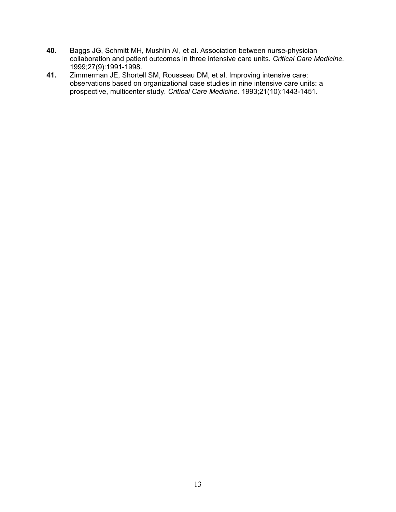- **40.** Baggs JG, Schmitt MH, Mushlin AI, et al. Association between nurse-physician collaboration and patient outcomes in three intensive care units. *Critical Care Medicine.*  1999;27(9):1991-1998.
- **41.** Zimmerman JE, Shortell SM, Rousseau DM, et al. Improving intensive care: observations based on organizational case studies in nine intensive care units: a prospective, multicenter study. *Critical Care Medicine.* 1993;21(10):1443-1451.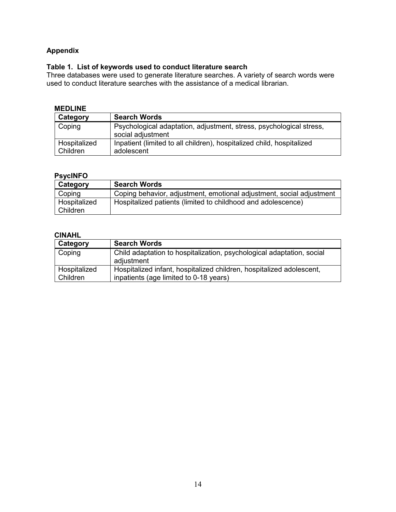## **Appendix**

## **Table 1. List of keywords used to conduct literature search**

Three databases were used to generate literature searches. A variety of search words were used to conduct literature searches with the assistance of a medical librarian.

## **MEDLINE**

| Category                 | <b>Search Words</b>                                                                      |
|--------------------------|------------------------------------------------------------------------------------------|
| Coping                   | Psychological adaptation, adjustment, stress, psychological stress,<br>social adjustment |
| Hospitalized<br>Children | Inpatient (limited to all children), hospitalized child, hospitalized<br>adolescent      |

# **PsycINFO**

| Category                 | <b>Search Words</b>                                                  |
|--------------------------|----------------------------------------------------------------------|
| Coping                   | Coping behavior, adjustment, emotional adjustment, social adjustment |
| Hospitalized<br>Children | Hospitalized patients (limited to childhood and adolescence)         |

### **CINAHL**

| Category                 | <b>Search Words</b>                                                                                            |
|--------------------------|----------------------------------------------------------------------------------------------------------------|
| Coping                   | Child adaptation to hospitalization, psychological adaptation, social<br>adjustment                            |
| Hospitalized<br>Children | Hospitalized infant, hospitalized children, hospitalized adolescent,<br>inpatients (age limited to 0-18 years) |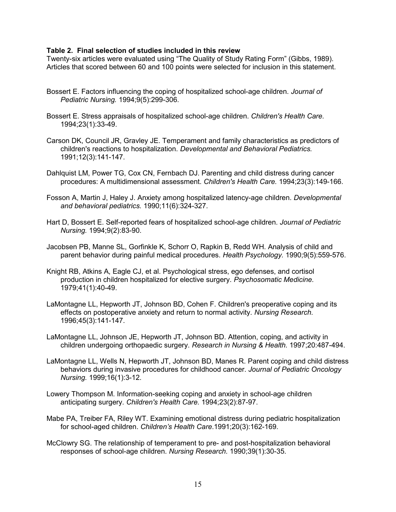### **Table 2. Final selection of studies included in this review**

Twenty-six articles were evaluated using "The Quality of Study Rating Form" (Gibbs, 1989). Articles that scored between 60 and 100 points were selected for inclusion in this statement.

- Bossert E. Factors influencing the coping of hospitalized school-age children. *Journal of Pediatric Nursing.* 1994;9(5):299-306.
- Bossert E. Stress appraisals of hospitalized school-age children. *Children's Health Care.*  1994;23(1):33-49.
- Carson DK, Council JR, Gravley JE. Temperament and family characteristics as predictors of children's reactions to hospitalization. *Developmental and Behavioral Pediatrics.*  1991;12(3):141-147.
- Dahlquist LM, Power TG, Cox CN, Fernbach DJ. Parenting and child distress during cancer procedures: A multidimensional assessment. *Children's Health Care.* 1994;23(3):149-166.
- Fosson A, Martin J, Haley J. Anxiety among hospitalized latency-age children. *Developmental and behavioral pediatrics.* 1990;11(6):324-327.
- Hart D, Bossert E. Self-reported fears of hospitalized school-age children. *Journal of Pediatric Nursing.* 1994;9(2):83-90.
- Jacobsen PB, Manne SL, Gorfinkle K, Schorr O, Rapkin B, Redd WH. Analysis of child and parent behavior during painful medical procedures. *Health Psychology.* 1990;9(5):559-576.
- Knight RB, Atkins A, Eagle CJ, et al. Psychological stress, ego defenses, and cortisol production in children hospitalized for elective surgery. *Psychosomatic Medicine.*  1979;41(1):40-49.
- LaMontagne LL, Hepworth JT, Johnson BD, Cohen F. Children's preoperative coping and its effects on postoperative anxiety and return to normal activity. *Nursing Research.*  1996;45(3):141-147.
- LaMontagne LL, Johnson JE, Hepworth JT, Johnson BD. Attention, coping, and activity in children undergoing orthopaedic surgery. *Research in Nursing & Health.* 1997;20:487-494.
- LaMontagne LL, Wells N, Hepworth JT, Johnson BD, Manes R. Parent coping and child distress behaviors during invasive procedures for childhood cancer. *Journal of Pediatric Oncology Nursing.* 1999;16(1):3-12.
- Lowery Thompson M. Information-seeking coping and anxiety in school-age children anticipating surgery. *Children's Health Care.* 1994;23(2):87-97.
- Mabe PA, Treiber FA, Riley WT. Examining emotional distress during pediatric hospitalization for school-aged children. *Children's Health Care*.1991;20(3):162-169.
- McClowry SG. The relationship of temperament to pre- and post-hospitalization behavioral responses of school-age children. *Nursing Research.* 1990;39(1):30-35.